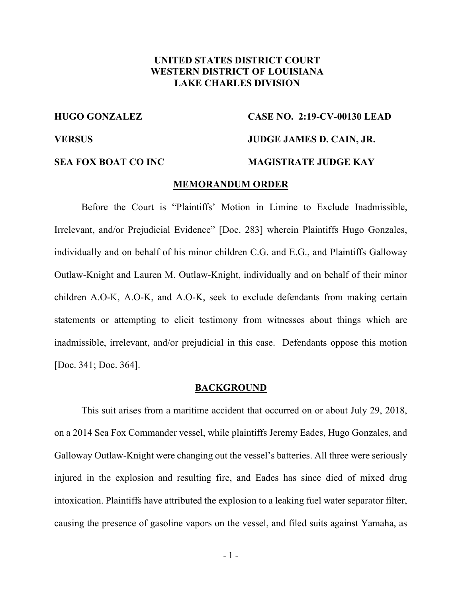# **UNITED STATES DISTRICT COURT WESTERN DISTRICT OF LOUISIANA LAKE CHARLES DIVISION**

# **HUGO GONZALEZ CASE NO. 2:19-CV-00130 LEAD VERSUS JUDGE JAMES D. CAIN, JR. SEA FOX BOAT CO INC MAGISTRATE JUDGE KAY**

### **MEMORANDUM ORDER**

Before the Court is "Plaintiffs' Motion in Limine to Exclude Inadmissible, Irrelevant, and/or Prejudicial Evidence" [Doc. 283] wherein Plaintiffs Hugo Gonzales, individually and on behalf of his minor children C.G. and E.G., and Plaintiffs Galloway Outlaw-Knight and Lauren M. Outlaw-Knight, individually and on behalf of their minor children A.O-K, A.O-K, and A.O-K, seek to exclude defendants from making certain statements or attempting to elicit testimony from witnesses about things which are inadmissible, irrelevant, and/or prejudicial in this case. Defendants oppose this motion [Doc. 341; Doc. 364].

#### **BACKGROUND**

This suit arises from a maritime accident that occurred on or about July 29, 2018, on a 2014 Sea Fox Commander vessel, while plaintiffs Jeremy Eades, Hugo Gonzales, and Galloway Outlaw-Knight were changing out the vessel's batteries. All three were seriously injured in the explosion and resulting fire, and Eades has since died of mixed drug intoxication. Plaintiffs have attributed the explosion to a leaking fuel water separator filter, causing the presence of gasoline vapors on the vessel, and filed suits against Yamaha, as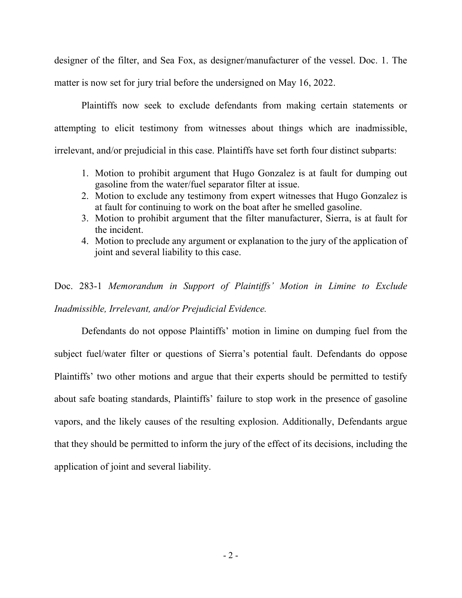designer of the filter, and Sea Fox, as designer/manufacturer of the vessel. Doc. 1. The matter is now set for jury trial before the undersigned on May 16, 2022.

Plaintiffs now seek to exclude defendants from making certain statements or attempting to elicit testimony from witnesses about things which are inadmissible, irrelevant, and/or prejudicial in this case. Plaintiffs have set forth four distinct subparts:

- 1. Motion to prohibit argument that Hugo Gonzalez is at fault for dumping out gasoline from the water/fuel separator filter at issue.
- 2. Motion to exclude any testimony from expert witnesses that Hugo Gonzalez is at fault for continuing to work on the boat after he smelled gasoline.
- 3. Motion to prohibit argument that the filter manufacturer, Sierra, is at fault for the incident.
- 4. Motion to preclude any argument or explanation to the jury of the application of joint and several liability to this case.

Doc. 283-1 *Memorandum in Support of Plaintiffs' Motion in Limine to Exclude Inadmissible, Irrelevant, and/or Prejudicial Evidence.* 

Defendants do not oppose Plaintiffs' motion in limine on dumping fuel from the subject fuel/water filter or questions of Sierra's potential fault. Defendants do oppose Plaintiffs' two other motions and argue that their experts should be permitted to testify about safe boating standards, Plaintiffs' failure to stop work in the presence of gasoline vapors, and the likely causes of the resulting explosion. Additionally, Defendants argue that they should be permitted to inform the jury of the effect of its decisions, including the application of joint and several liability.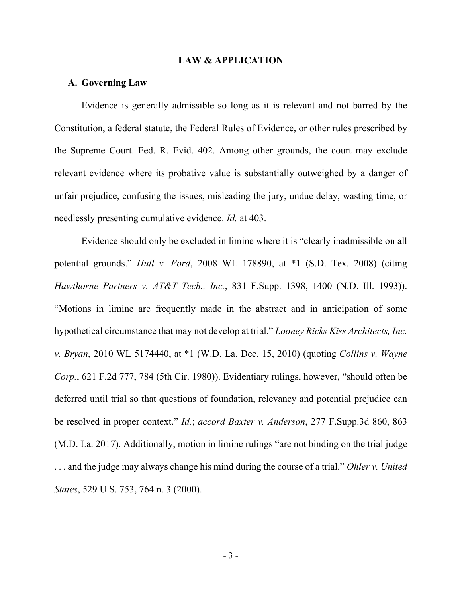#### **LAW & APPLICATION**

### **A. Governing Law**

Evidence is generally admissible so long as it is relevant and not barred by the Constitution, a federal statute, the Federal Rules of Evidence, or other rules prescribed by the Supreme Court. Fed. R. Evid. 402. Among other grounds, the court may exclude relevant evidence where its probative value is substantially outweighed by a danger of unfair prejudice, confusing the issues, misleading the jury, undue delay, wasting time, or needlessly presenting cumulative evidence. *Id.* at 403.

Evidence should only be excluded in limine where it is "clearly inadmissible on all potential grounds." *Hull v. Ford*, 2008 WL 178890, at \*1 (S.D. Tex. 2008) (citing *Hawthorne Partners v. AT&T Tech., Inc.*, 831 F.Supp. 1398, 1400 (N.D. Ill. 1993)). "Motions in limine are frequently made in the abstract and in anticipation of some hypothetical circumstance that may not develop at trial." *Looney Ricks Kiss Architects, Inc. v. Bryan*, 2010 WL 5174440, at \*1 (W.D. La. Dec. 15, 2010) (quoting *Collins v. Wayne Corp.*, 621 F.2d 777, 784 (5th Cir. 1980)). Evidentiary rulings, however, "should often be deferred until trial so that questions of foundation, relevancy and potential prejudice can be resolved in proper context." *Id.*; *accord Baxter v. Anderson*, 277 F.Supp.3d 860, 863 (M.D. La. 2017). Additionally, motion in limine rulings "are not binding on the trial judge . . . and the judge may always change his mind during the course of a trial." *Ohler v. United States*, 529 U.S. 753, 764 n. 3 (2000).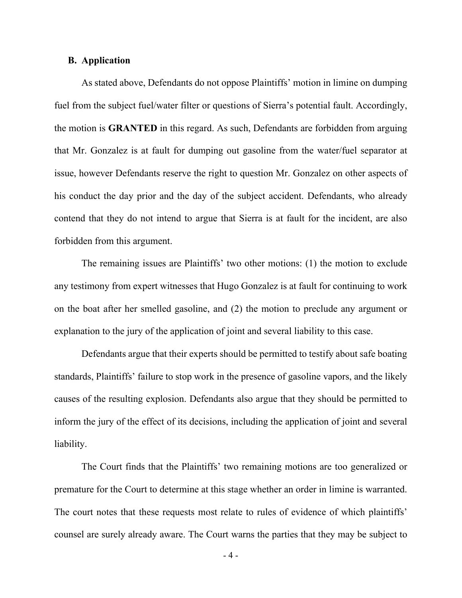## **B. Application**

As stated above, Defendants do not oppose Plaintiffs' motion in limine on dumping fuel from the subject fuel/water filter or questions of Sierra's potential fault. Accordingly, the motion is **GRANTED** in this regard. As such, Defendants are forbidden from arguing that Mr. Gonzalez is at fault for dumping out gasoline from the water/fuel separator at issue, however Defendants reserve the right to question Mr. Gonzalez on other aspects of his conduct the day prior and the day of the subject accident. Defendants, who already contend that they do not intend to argue that Sierra is at fault for the incident, are also forbidden from this argument.

The remaining issues are Plaintiffs' two other motions: (1) the motion to exclude any testimony from expert witnesses that Hugo Gonzalez is at fault for continuing to work on the boat after her smelled gasoline, and (2) the motion to preclude any argument or explanation to the jury of the application of joint and several liability to this case.

Defendants argue that their experts should be permitted to testify about safe boating standards, Plaintiffs' failure to stop work in the presence of gasoline vapors, and the likely causes of the resulting explosion. Defendants also argue that they should be permitted to inform the jury of the effect of its decisions, including the application of joint and several liability.

The Court finds that the Plaintiffs' two remaining motions are too generalized or premature for the Court to determine at this stage whether an order in limine is warranted. The court notes that these requests most relate to rules of evidence of which plaintiffs' counsel are surely already aware. The Court warns the parties that they may be subject to